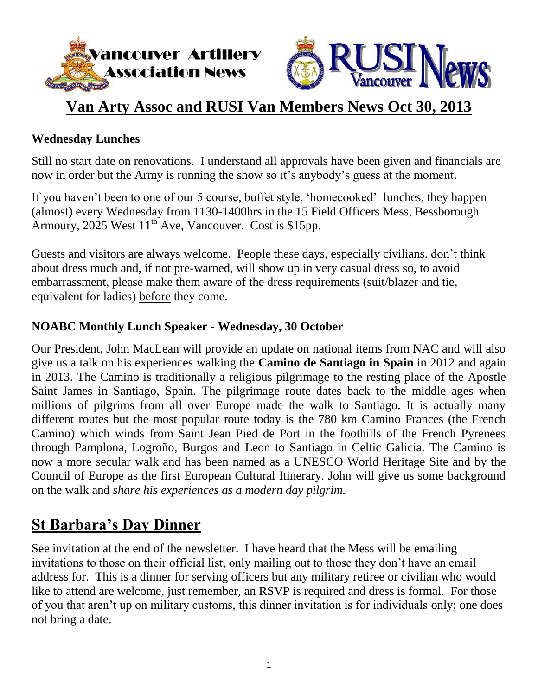



#### **Van Arty Assoc and RUSI Van Members News Oct 30, 2013**

#### **Wednesday Lunches**

Still no start date on renovations. I understand all approvals have been given and financials are now in order but the Army is running the show so it's anybody's guess at the moment.

If you haven't been to one of our 5 course, buffet style, 'homecooked' lunches, they happen (almost) every Wednesday from 1130-1400hrs in the 15 Field Officers Mess, Bessborough Armoury, 2025 West  $11^{th}$  Ave, Vancouver. Cost is \$15pp.

Guests and visitors are always welcome. People these days, especially civilians, don"t think about dress much and, if not pre-warned, will show up in very casual dress so, to avoid embarrassment, please make them aware of the dress requirements (suit/blazer and tie, equivalent for ladies) before they come.

#### **NOABC Monthly Lunch Speaker - Wednesday, 30 October**

Our President, John MacLean will provide an update on national items from NAC and will also give us a talk on his experiences walking the **Camino de Santiago in Spain** in 2012 and again in 2013. The Camino is traditionally a religious pilgrimage to the resting place of the Apostle Saint James in Santiago, Spain. The pilgrimage route dates back to the middle ages when millions of pilgrims from all over Europe made the walk to Santiago. It is actually many different routes but the most popular route today is the 780 km Camino Frances (the French Camino) which winds from Saint Jean Pied de Port in the foothills of the French Pyrenees through Pamplona, Logroño, Burgos and Leon to Santiago in Celtic Galicia. The Camino is now a more secular walk and has been named as a UNESCO World Heritage Site and by the Council of Europe as the first European Cultural Itinerary. John will give us some background on the walk and *share his experiences as a modern day pilgrim.*

#### **St Barbara's Day Dinner**

See invitation at the end of the newsletter. I have heard that the Mess will be emailing invitations to those on their official list, only mailing out to those they don"t have an email address for. This is a dinner for serving officers but any military retiree or civilian who would like to attend are welcome, just remember, an RSVP is required and dress is formal. For those of you that aren"t up on military customs, this dinner invitation is for individuals only; one does not bring a date.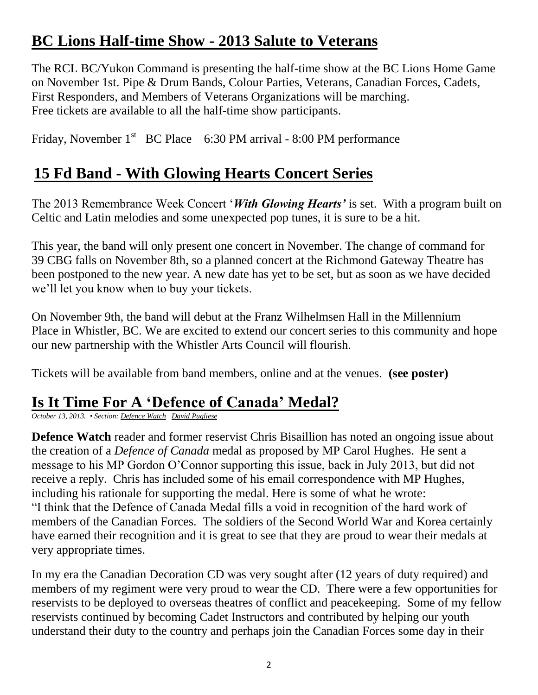# **BC Lions Half-time Show - 2013 Salute to Veterans**

The RCL BC/Yukon Command is presenting the half-time show at the BC Lions Home Game on November 1st. Pipe & Drum Bands, Colour Parties, Veterans, Canadian Forces, Cadets, First Responders, and Members of Veterans Organizations will be marching. Free tickets are available to all the half-time show participants.

Friday, November  $1<sup>st</sup>$  BC Place 6:30 PM arrival - 8:00 PM performance

# **15 Fd Band - With Glowing Hearts Concert Series**

The 2013 Remembrance Week Concert "*With Glowing Hearts'* is set. With a program built on Celtic and Latin melodies and some unexpected pop tunes, it is sure to be a hit.

This year, the band will only present one concert in November. The change of command for 39 CBG falls on November 8th, so a planned concert at the Richmond Gateway Theatre has been postponed to the new year. A new date has yet to be set, but as soon as we have decided we"ll let you know when to buy your tickets.

On November 9th, the band will debut at the Franz Wilhelmsen Hall in the Millennium Place in Whistler, BC. We are excited to extend our concert series to this community and hope our new partnership with the Whistler Arts Council will flourish.

Tickets will be available from band members, online and at the venues. **(see poster)**

#### **Is It Time For A 'Defence of Canada' Medal?**

*October 13, 2013. • Section: Defence Watch David Pugliese*

**Defence Watch** reader and former reservist Chris Bisaillion has noted an ongoing issue about the creation of a *Defence of Canada* medal as proposed by MP Carol Hughes. He sent a message to his MP Gordon O"Connor supporting this issue, back in July 2013, but did not receive a reply. Chris has included some of his email correspondence with MP Hughes, including his rationale for supporting the medal. Here is some of what he wrote: "I think that the Defence of Canada Medal fills a void in recognition of the hard work of members of the Canadian Forces. The soldiers of the Second World War and Korea certainly have earned their recognition and it is great to see that they are proud to wear their medals at very appropriate times.

In my era the Canadian Decoration CD was very sought after (12 years of duty required) and members of my regiment were very proud to wear the CD. There were a few opportunities for reservists to be deployed to overseas theatres of conflict and peacekeeping. Some of my fellow reservists continued by becoming Cadet Instructors and contributed by helping our youth understand their duty to the country and perhaps join the Canadian Forces some day in their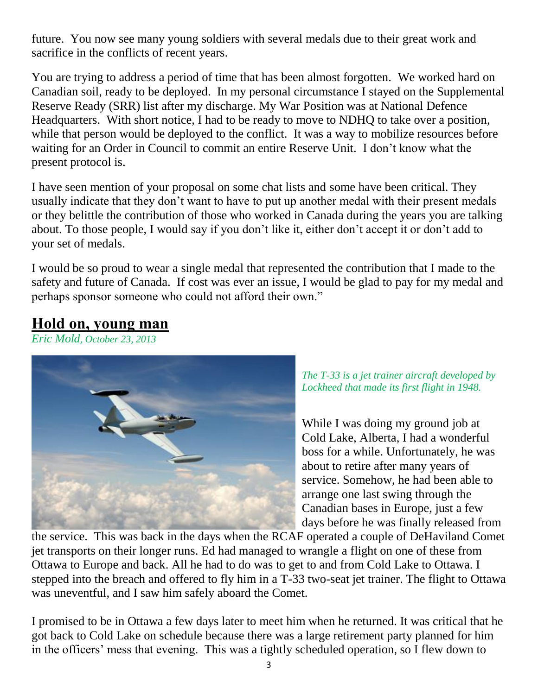future. You now see many young soldiers with several medals due to their great work and sacrifice in the conflicts of recent years.

You are trying to address a period of time that has been almost forgotten. We worked hard on Canadian soil, ready to be deployed. In my personal circumstance I stayed on the Supplemental Reserve Ready (SRR) list after my discharge. My War Position was at National Defence Headquarters. With short notice, I had to be ready to move to NDHQ to take over a position, while that person would be deployed to the conflict. It was a way to mobilize resources before waiting for an Order in Council to commit an entire Reserve Unit. I don"t know what the present protocol is.

I have seen mention of your proposal on some chat lists and some have been critical. They usually indicate that they don"t want to have to put up another medal with their present medals or they belittle the contribution of those who worked in Canada during the years you are talking about. To those people, I would say if you don't like it, either don't accept it or don't add to your set of medals.

I would be so proud to wear a single medal that represented the contribution that I made to the safety and future of Canada. If cost was ever an issue, I would be glad to pay for my medal and perhaps sponsor someone who could not afford their own."

#### **Hold on, young man**

*Eric Mold, October 23, 2013*



*The T-33 is a jet trainer aircraft developed by Lockheed that made its first flight in 1948.*

While I was doing my ground job at Cold Lake, Alberta, I had a wonderful boss for a while. Unfortunately, he was about to retire after many years of service. Somehow, he had been able to arrange one last swing through the Canadian bases in Europe, just a few days before he was finally released from

the service. This was back in the days when the RCAF operated a couple of DeHaviland Comet jet transports on their longer runs. Ed had managed to wrangle a flight on one of these from Ottawa to Europe and back. All he had to do was to get to and from Cold Lake to Ottawa. I stepped into the breach and offered to fly him in a T-33 two-seat jet trainer. The flight to Ottawa was uneventful, and I saw him safely aboard the Comet.

I promised to be in Ottawa a few days later to meet him when he returned. It was critical that he got back to Cold Lake on schedule because there was a large retirement party planned for him in the officers' mess that evening. This was a tightly scheduled operation, so I flew down to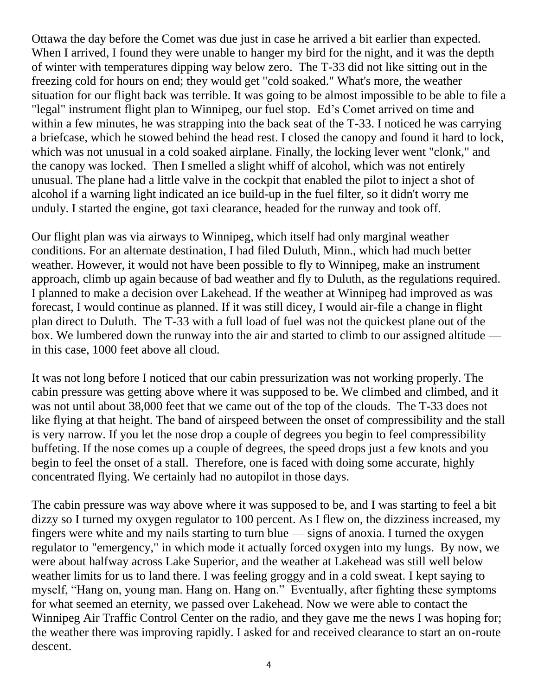Ottawa the day before the Comet was due just in case he arrived a bit earlier than expected. When I arrived, I found they were unable to hanger my bird for the night, and it was the depth of winter with temperatures dipping way below zero. The T-33 did not like sitting out in the freezing cold for hours on end; they would get "cold soaked." What's more, the weather situation for our flight back was terrible. It was going to be almost impossible to be able to file a "legal" instrument flight plan to Winnipeg, our fuel stop. Ed"s Comet arrived on time and within a few minutes, he was strapping into the back seat of the T-33. I noticed he was carrying a briefcase, which he stowed behind the head rest. I closed the canopy and found it hard to lock, which was not unusual in a cold soaked airplane. Finally, the locking lever went "clonk," and the canopy was locked. Then I smelled a slight whiff of alcohol, which was not entirely unusual. The plane had a little valve in the cockpit that enabled the pilot to inject a shot of alcohol if a warning light indicated an ice build-up in the fuel filter, so it didn't worry me unduly. I started the engine, got taxi clearance, headed for the runway and took off.

Our flight plan was via airways to Winnipeg, which itself had only marginal weather conditions. For an alternate destination, I had filed Duluth, Minn., which had much better weather. However, it would not have been possible to fly to Winnipeg, make an instrument approach, climb up again because of bad weather and fly to Duluth, as the regulations required. I planned to make a decision over Lakehead. If the weather at Winnipeg had improved as was forecast, I would continue as planned. If it was still dicey, I would air-file a change in flight plan direct to Duluth. The T-33 with a full load of fuel was not the quickest plane out of the box. We lumbered down the runway into the air and started to climb to our assigned altitude in this case, 1000 feet above all cloud.

It was not long before I noticed that our cabin pressurization was not working properly. The cabin pressure was getting above where it was supposed to be. We climbed and climbed, and it was not until about 38,000 feet that we came out of the top of the clouds. The T-33 does not like flying at that height. The band of airspeed between the onset of compressibility and the stall is very narrow. If you let the nose drop a couple of degrees you begin to feel compressibility buffeting. If the nose comes up a couple of degrees, the speed drops just a few knots and you begin to feel the onset of a stall. Therefore, one is faced with doing some accurate, highly concentrated flying. We certainly had no autopilot in those days.

The cabin pressure was way above where it was supposed to be, and I was starting to feel a bit dizzy so I turned my oxygen regulator to 100 percent. As I flew on, the dizziness increased, my fingers were white and my nails starting to turn blue — signs of anoxia. I turned the oxygen regulator to "emergency," in which mode it actually forced oxygen into my lungs. By now, we were about halfway across Lake Superior, and the weather at Lakehead was still well below weather limits for us to land there. I was feeling groggy and in a cold sweat. I kept saying to myself, "Hang on, young man. Hang on. Hang on." Eventually, after fighting these symptoms for what seemed an eternity, we passed over Lakehead. Now we were able to contact the Winnipeg Air Traffic Control Center on the radio, and they gave me the news I was hoping for; the weather there was improving rapidly. I asked for and received clearance to start an on-route descent.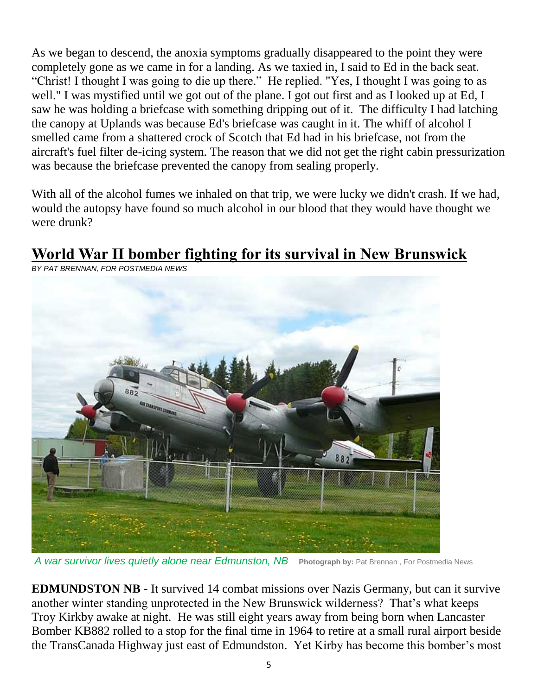As we began to descend, the anoxia symptoms gradually disappeared to the point they were completely gone as we came in for a landing. As we taxied in, I said to Ed in the back seat. "Christ! I thought I was going to die up there." He replied. "Yes, I thought I was going to as well." I was mystified until we got out of the plane. I got out first and as I looked up at Ed, I saw he was holding a briefcase with something dripping out of it. The difficulty I had latching the canopy at Uplands was because Ed's briefcase was caught in it. The whiff of alcohol I smelled came from a shattered crock of Scotch that Ed had in his briefcase, not from the aircraft's fuel filter de-icing system. The reason that we did not get the right cabin pressurization was because the briefcase prevented the canopy from sealing properly.

With all of the alcohol fumes we inhaled on that trip, we were lucky we didn't crash. If we had, would the autopsy have found so much alcohol in our blood that they would have thought we were drunk?

# **World War II bomber fighting for its survival in New Brunswick**



*BY PAT BRENNAN, FOR POSTMEDIA NEWS*

*A war survivor lives quietly alone near Edmunston, NB* **Photograph by:** Pat Brennan , For Postmedia News

**EDMUNDSTON NB** - It survived 14 combat missions over Nazis Germany, but can it survive another winter standing unprotected in the New Brunswick wilderness? That"s what keeps Troy Kirkby awake at night. He was still eight years away from being born when Lancaster Bomber KB882 rolled to a stop for the final time in 1964 to retire at a small rural airport beside the TransCanada Highway just east of Edmundston. Yet Kirby has become this bomber"s most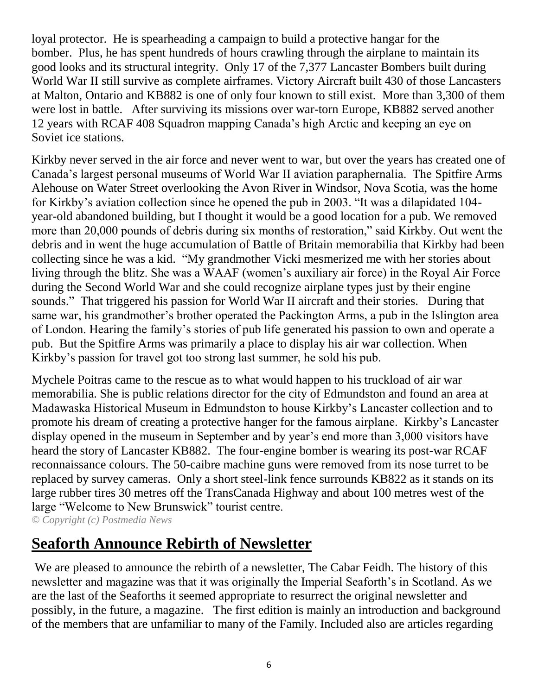loyal protector. He is spearheading a campaign to build a protective hangar for the bomber. Plus, he has spent hundreds of hours crawling through the airplane to maintain its good looks and its structural integrity. Only 17 of the 7,377 Lancaster Bombers built during World War II still survive as complete airframes. Victory Aircraft built 430 of those Lancasters at Malton, Ontario and KB882 is one of only four known to still exist. More than 3,300 of them were lost in battle. After surviving its missions over war-torn Europe, KB882 served another 12 years with RCAF 408 Squadron mapping Canada"s high Arctic and keeping an eye on Soviet ice stations.

Kirkby never served in the air force and never went to war, but over the years has created one of Canada"s largest personal museums of World War II aviation paraphernalia. The Spitfire Arms Alehouse on Water Street overlooking the Avon River in Windsor, Nova Scotia, was the home for Kirkby"s aviation collection since he opened the pub in 2003. "It was a dilapidated 104 year-old abandoned building, but I thought it would be a good location for a pub. We removed more than 20,000 pounds of debris during six months of restoration," said Kirkby. Out went the debris and in went the huge accumulation of Battle of Britain memorabilia that Kirkby had been collecting since he was a kid. "My grandmother Vicki mesmerized me with her stories about living through the blitz. She was a WAAF (women"s auxiliary air force) in the Royal Air Force during the Second World War and she could recognize airplane types just by their engine sounds." That triggered his passion for World War II aircraft and their stories. During that same war, his grandmother's brother operated the Packington Arms, a pub in the Islington area of London. Hearing the family"s stories of pub life generated his passion to own and operate a pub. But the Spitfire Arms was primarily a place to display his air war collection. When Kirkby"s passion for travel got too strong last summer, he sold his pub.

Mychele Poitras came to the rescue as to what would happen to his truckload of air war memorabilia. She is public relations director for the city of Edmundston and found an area at Madawaska Historical Museum in Edmundston to house Kirkby"s Lancaster collection and to promote his dream of creating a protective hanger for the famous airplane. Kirkby"s Lancaster display opened in the museum in September and by year's end more than 3,000 visitors have heard the story of Lancaster KB882. The four-engine bomber is wearing its post-war RCAF reconnaissance colours. The 50-caibre machine guns were removed from its nose turret to be replaced by survey cameras. Only a short steel-link fence surrounds KB822 as it stands on its large rubber tires 30 metres off the TransCanada Highway and about 100 metres west of the large "Welcome to New Brunswick" tourist centre. *© Copyright (c) Postmedia News*

# **Seaforth Announce Rebirth of Newsletter**

We are pleased to announce the rebirth of a newsletter, The Cabar Feidh. The history of this newsletter and magazine was that it was originally the Imperial Seaforth's in Scotland. As we are the last of the Seaforths it seemed appropriate to resurrect the original newsletter and possibly, in the future, a magazine. The first edition is mainly an introduction and background of the members that are unfamiliar to many of the Family. Included also are articles regarding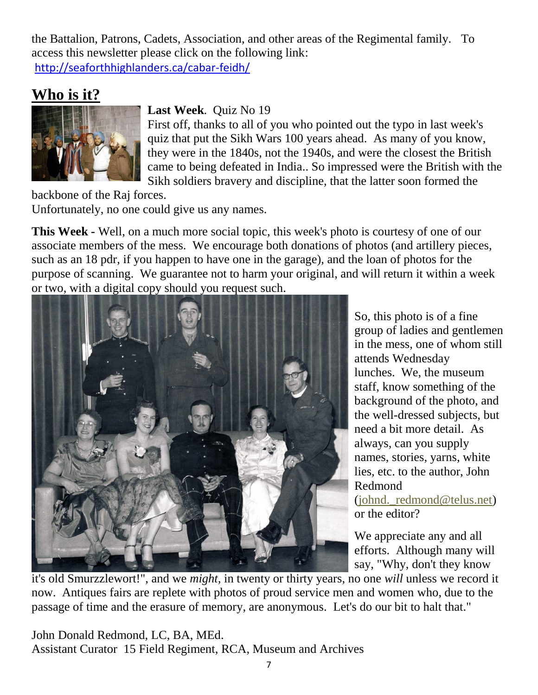the Battalion, Patrons, Cadets, Association, and other areas of the Regimental family. To access this newsletter please click on the following link: http://seaforthhighlanders.ca/cabar-feidh/

## **Who is it?**



#### **Last Week**. Quiz No 19

First off, thanks to all of you who pointed out the typo in last week's quiz that put the Sikh Wars 100 years ahead. As many of you know, they were in the 1840s, not the 1940s, and were the closest the British came to being defeated in India.. So impressed were the British with the Sikh soldiers bravery and discipline, that the latter soon formed the

backbone of the Raj forces. Unfortunately, no one could give us any names.

**This Week -** Well, on a much more social topic, this week's photo is courtesy of one of our associate members of the mess. We encourage both donations of photos (and artillery pieces, such as an 18 pdr, if you happen to have one in the garage), and the loan of photos for the purpose of scanning. We guarantee not to harm your original, and will return it within a week or two, with a digital copy should you request such.



So, this photo is of a fine group of ladies and gentlemen in the mess, one of whom still attends Wednesday lunches. We, the museum staff, know something of the background of the photo, and the well-dressed subjects, but need a bit more detail. As always, can you supply names, stories, yarns, white lies, etc. to the author, John Redmond (johnd.\_redmond@telus.net)

or the editor?

We appreciate any and all efforts. Although many will say, "Why, don't they know

it's old Smurzzlewort!", and we *might,* in twenty or thirty years, no one *will* unless we record it now. Antiques fairs are replete with photos of proud service men and women who, due to the passage of time and the erasure of memory, are anonymous. Let's do our bit to halt that."

John Donald Redmond, LC, BA, MEd. Assistant Curator 15 Field Regiment, RCA, Museum and Archives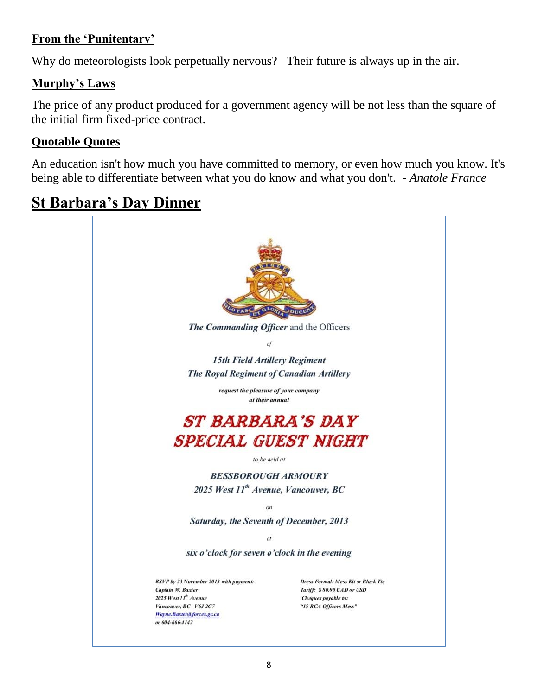#### **From the 'Punitentary'**

Why do meteorologists look perpetually nervous? Their future is always up in the air.

#### **Murphy's Laws**

The price of any product produced for a government agency will be not less than the square of the initial firm fixed-price contract.

#### **Quotable Quotes**

An education isn't how much you have committed to memory, or even how much you know. It's being able to differentiate between what you do know and what you don't. - *Anatole France*

# **St Barbara's Day Dinner**

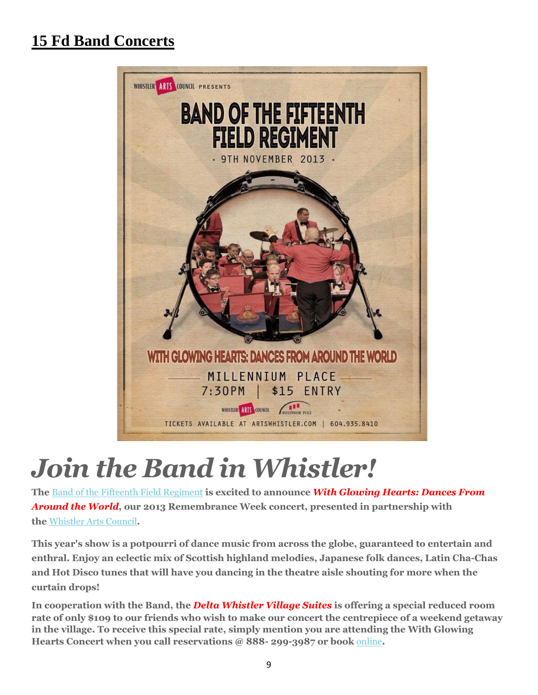# **15 Fd Band Concerts**



# *Join the Band in Whistler!*

**The** [Band of the Fifteenth Field Regiment](http://www.militarymusic.ca/15fieldband/) **is excited to announce** *With Glowing Hearts: Dances From Around the World***, our 2013 Remembrance Week concert, presented in partnership with the** [Whistler Arts Council](http://artswhistler.tix.com/Event.aspx?EventCode=603187)**.**

**This year's show is a potpourri of dance music from across the globe, guaranteed to entertain and enthral. Enjoy an eclectic mix of Scottish highland melodies, Japanese folk dances, Latin Cha-Chas and Hot Disco tunes that will have you dancing in the theatre aisle shouting for more when the curtain drops!**

**In cooperation with the Band, the** *Delta Whistler Village Suites* **is offering a special reduced room rate of only \$109 to our friends who wish to make our concert the centrepiece of a weekend getaway in the village. To receive this special rate, simply mention you are attending the With Glowing Hearts Concert when you call reservations @ 888- 299-3987 or book** [online](http://www.whistlerblackcomb.com/reservations/v_383/mg_1/Delta-Whistler-Village-Suites.detail?s_kwcid=TC|9174|delta%20whistler%20village%20suites||S|e|15439996935&gclid=CM6r-oGPq7oCFY0-MgodpxQAKQ)**.**